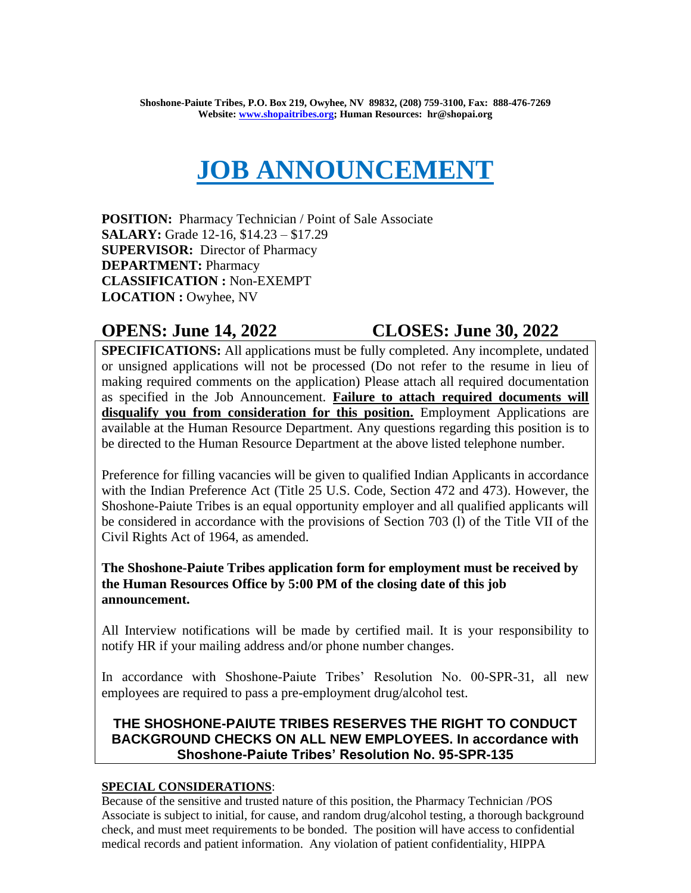# **JOB ANNOUNCEMENT**

**POSITION:** Pharmacy Technician / Point of Sale Associate **SALARY:** Grade 12-16, \$14.23 – \$17.29 **SUPERVISOR:** Director of Pharmacy **DEPARTMENT:** Pharmacy **CLASSIFICATION :** Non-EXEMPT **LOCATION :** Owyhee, NV

# **OPENS: June 14, 2022 CLOSES: June 30, 2022**

**SPECIFICATIONS:** All applications must be fully completed. Any incomplete, undated or unsigned applications will not be processed (Do not refer to the resume in lieu of making required comments on the application) Please attach all required documentation as specified in the Job Announcement. **Failure to attach required documents will disqualify you from consideration for this position.** Employment Applications are available at the Human Resource Department. Any questions regarding this position is to be directed to the Human Resource Department at the above listed telephone number.

Preference for filling vacancies will be given to qualified Indian Applicants in accordance with the Indian Preference Act (Title 25 U.S. Code, Section 472 and 473). However, the Shoshone-Paiute Tribes is an equal opportunity employer and all qualified applicants will be considered in accordance with the provisions of Section 703 (l) of the Title VII of the Civil Rights Act of 1964, as amended.

# **The Shoshone-Paiute Tribes application form for employment must be received by the Human Resources Office by 5:00 PM of the closing date of this job announcement.**

All Interview notifications will be made by certified mail. It is your responsibility to notify HR if your mailing address and/or phone number changes.

In accordance with Shoshone-Paiute Tribes' Resolution No. 00-SPR-31, all new employees are required to pass a pre-employment drug/alcohol test.

# **THE SHOSHONE-PAIUTE TRIBES RESERVES THE RIGHT TO CONDUCT BACKGROUND CHECKS ON ALL NEW EMPLOYEES. In accordance with Shoshone-Paiute Tribes' Resolution No. 95-SPR-135**

# **SPECIAL CONSIDERATIONS**:

Because of the sensitive and trusted nature of this position, the Pharmacy Technician /POS Associate is subject to initial, for cause, and random drug/alcohol testing, a thorough background check, and must meet requirements to be bonded. The position will have access to confidential medical records and patient information. Any violation of patient confidentiality, HIPPA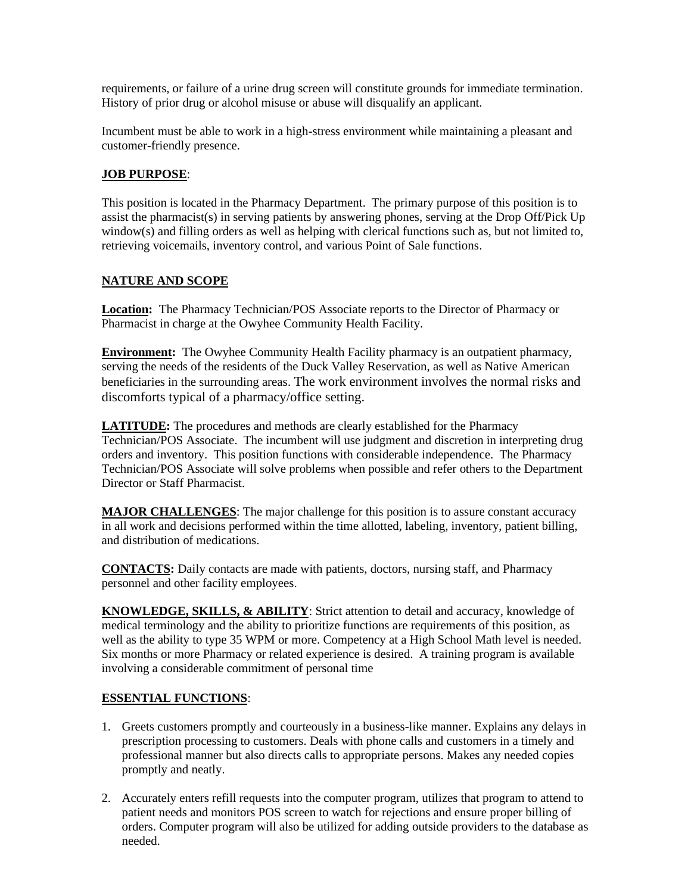requirements, or failure of a urine drug screen will constitute grounds for immediate termination. History of prior drug or alcohol misuse or abuse will disqualify an applicant.

Incumbent must be able to work in a high-stress environment while maintaining a pleasant and customer-friendly presence.

#### **JOB PURPOSE**:

This position is located in the Pharmacy Department. The primary purpose of this position is to assist the pharmacist(s) in serving patients by answering phones, serving at the Drop Off/Pick Up window(s) and filling orders as well as helping with clerical functions such as, but not limited to, retrieving voicemails, inventory control, and various Point of Sale functions.

#### **NATURE AND SCOPE**

**Location:** The Pharmacy Technician/POS Associate reports to the Director of Pharmacy or Pharmacist in charge at the Owyhee Community Health Facility.

**Environment:** The Owyhee Community Health Facility pharmacy is an outpatient pharmacy, serving the needs of the residents of the Duck Valley Reservation, as well as Native American beneficiaries in the surrounding areas. The work environment involves the normal risks and discomforts typical of a pharmacy/office setting.

**LATITUDE:** The procedures and methods are clearly established for the Pharmacy Technician/POS Associate. The incumbent will use judgment and discretion in interpreting drug orders and inventory. This position functions with considerable independence. The Pharmacy Technician/POS Associate will solve problems when possible and refer others to the Department Director or Staff Pharmacist.

**MAJOR CHALLENGES**: The major challenge for this position is to assure constant accuracy in all work and decisions performed within the time allotted, labeling, inventory, patient billing, and distribution of medications.

**CONTACTS:** Daily contacts are made with patients, doctors, nursing staff, and Pharmacy personnel and other facility employees.

**KNOWLEDGE, SKILLS, & ABILITY**: Strict attention to detail and accuracy, knowledge of medical terminology and the ability to prioritize functions are requirements of this position, as well as the ability to type 35 WPM or more. Competency at a High School Math level is needed. Six months or more Pharmacy or related experience is desired. A training program is available involving a considerable commitment of personal time

#### **ESSENTIAL FUNCTIONS**:

- 1. Greets customers promptly and courteously in a business-like manner. Explains any delays in prescription processing to customers. Deals with phone calls and customers in a timely and professional manner but also directs calls to appropriate persons. Makes any needed copies promptly and neatly.
- 2. Accurately enters refill requests into the computer program, utilizes that program to attend to patient needs and monitors POS screen to watch for rejections and ensure proper billing of orders. Computer program will also be utilized for adding outside providers to the database as needed.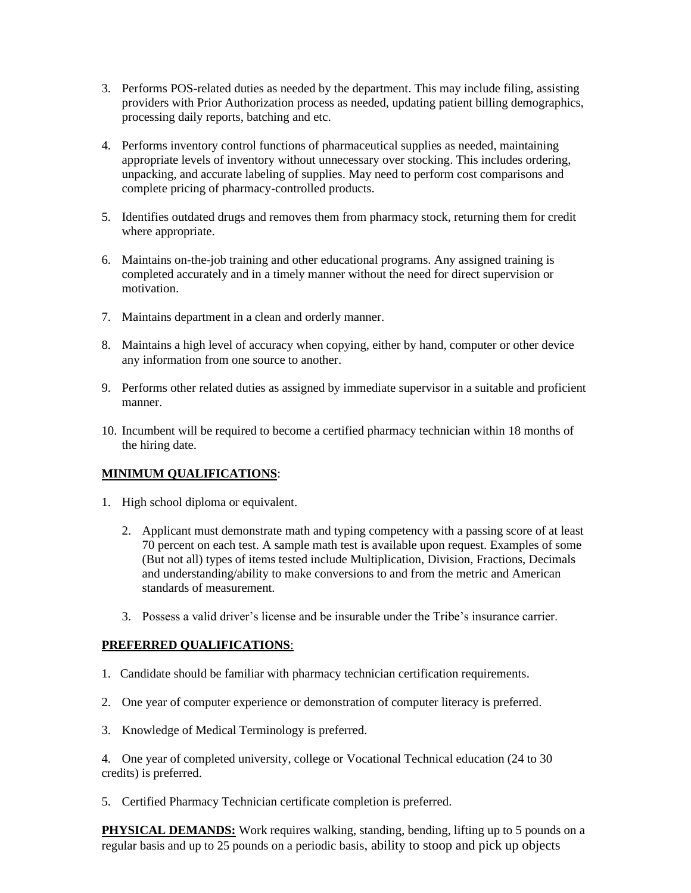- 3. Performs POS-related duties as needed by the department. This may include filing, assisting providers with Prior Authorization process as needed, updating patient billing demographics, processing daily reports, batching and etc.
- 4. Performs inventory control functions of pharmaceutical supplies as needed, maintaining appropriate levels of inventory without unnecessary over stocking. This includes ordering, unpacking, and accurate labeling of supplies. May need to perform cost comparisons and complete pricing of pharmacy-controlled products.
- 5. Identifies outdated drugs and removes them from pharmacy stock, returning them for credit where appropriate.
- 6. Maintains on-the-job training and other educational programs. Any assigned training is completed accurately and in a timely manner without the need for direct supervision or motivation.
- 7. Maintains department in a clean and orderly manner.
- 8. Maintains a high level of accuracy when copying, either by hand, computer or other device any information from one source to another.
- 9. Performs other related duties as assigned by immediate supervisor in a suitable and proficient manner.
- 10. Incumbent will be required to become a certified pharmacy technician within 18 months of the hiring date.

### **MINIMUM QUALIFICATIONS**:

- 1. High school diploma or equivalent.
	- 2. Applicant must demonstrate math and typing competency with a passing score of at least 70 percent on each test. A sample math test is available upon request. Examples of some (But not all) types of items tested include Multiplication, Division, Fractions, Decimals and understanding/ability to make conversions to and from the metric and American standards of measurement.
	- 3. Possess a valid driver's license and be insurable under the Tribe's insurance carrier.

### **PREFERRED QUALIFICATIONS**:

- 1. Candidate should be familiar with pharmacy technician certification requirements.
- 2. One year of computer experience or demonstration of computer literacy is preferred.
- 3. Knowledge of Medical Terminology is preferred.

4. One year of completed university, college or Vocational Technical education (24 to 30 credits) is preferred.

5. Certified Pharmacy Technician certificate completion is preferred.

**PHYSICAL DEMANDS:** Work requires walking, standing, bending, lifting up to 5 pounds on a regular basis and up to 25 pounds on a periodic basis, ability to stoop and pick up objects